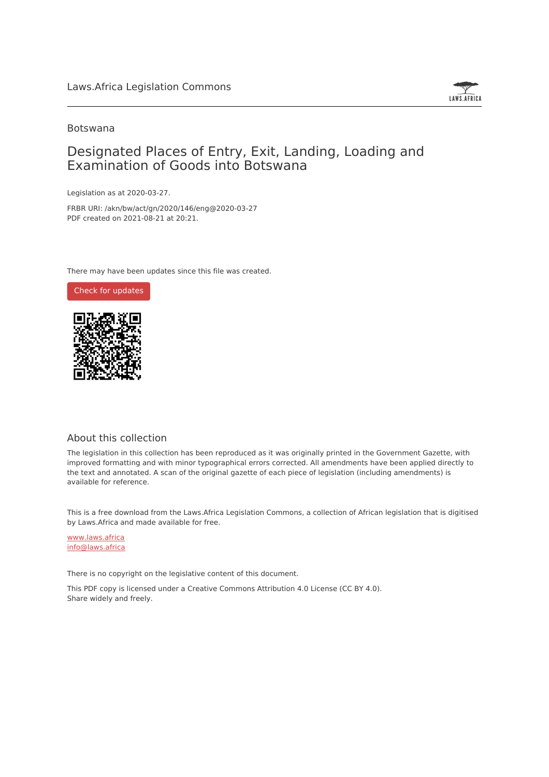

# Botswana

# Designated Places of Entry, Exit, Landing, Loading and Examination of Goods into Botswana

Legislation as at 2020-03-27.

FRBR URI: /akn/bw/act/gn/2020/146/eng@2020-03-27 PDF created on 2021-08-21 at 20:21.

There may have been updates since this file was created.



## About this collection

The legislation in this collection has been reproduced as it was originally printed in the Government Gazette, with improved formatting and with minor typographical errors corrected. All amendments have been applied directly to the text and annotated. A scan of the original gazette of each piece of legislation (including amendments) is available for reference.

This is a free download from the Laws.Africa Legislation Commons, a collection of African legislation that is digitised by Laws.Africa and made available for free.

[www.laws.africa](https://www.laws.africa) [info@laws.africa](mailto:info@laws.africa)

There is no copyright on the legislative content of this document.

This PDF copy is licensed under a Creative Commons Attribution 4.0 License (CC BY 4.0). Share widely and freely.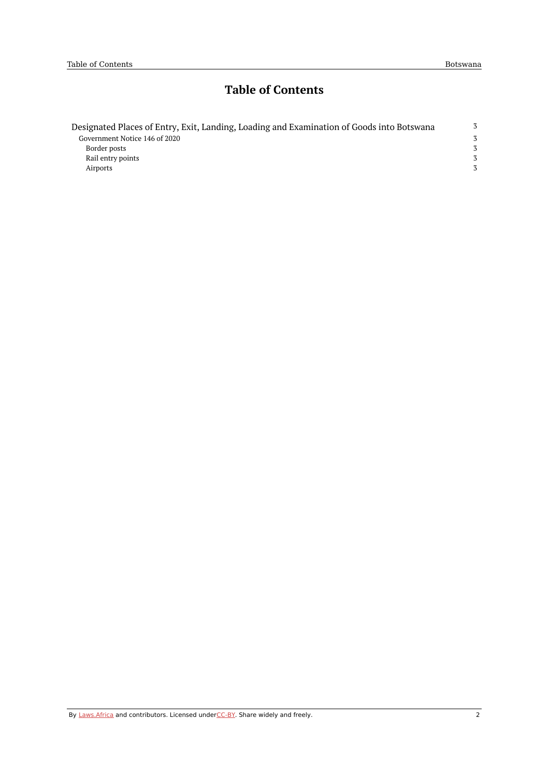# **Table of Contents**

| Designated Places of Entry, Exit, Landing, Loading and Examination of Goods into Botswana |   |
|-------------------------------------------------------------------------------------------|---|
| Government Notice 146 of 2020                                                             | 3 |
| Border posts                                                                              | 3 |
| Rail entry points                                                                         | 3 |
| Airports                                                                                  | 3 |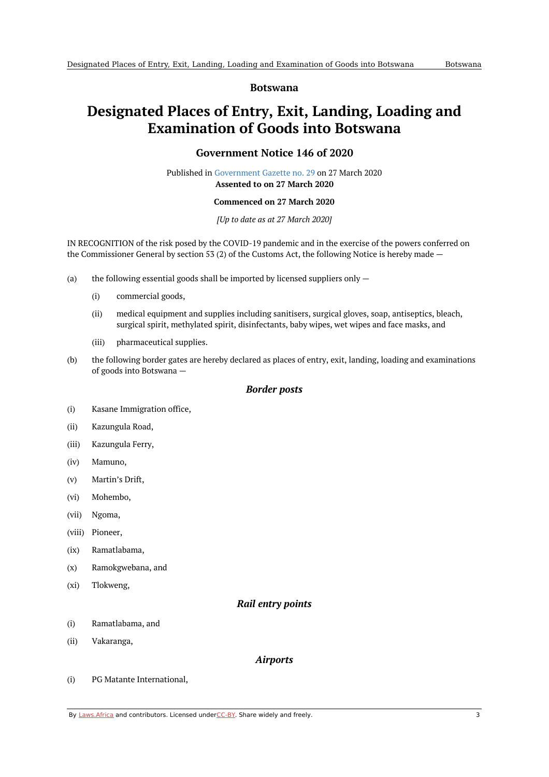### **Botswana**

# <span id="page-2-1"></span><span id="page-2-0"></span>**Designated Places of Entry, Exit, Landing, Loading and Examination of Goods into Botswana**

# **Government Notice 146 of 2020**

Published in [Government](https://commons.laws.africa/akn/bw/act/gn/2020/146/media/publication/bw-act-gn-2020-146-publication-document.pdf) Gazette no. 29 on 27 March 2020 **Assented to on 27 March 2020**

#### **Commenced on 27 March 2020**

#### *[Up to date as at 27 March 2020]*

IN RECOGNITION of the risk posed by the COVID-19 pandemic and in the exercise of the powers conferred on the Commissioner General by section 53 (2) of the Customs Act, the following Notice is hereby made —

- (a) the following essential goods shall be imported by licensed suppliers only —
	- (i) commercial goods,
	- (ii) medical equipment and supplies including sanitisers, surgical gloves, soap, antiseptics, bleach, surgical spirit, methylated spirit, disinfectants, baby wipes, wet wipes and face masks, and
	- (iii) pharmaceutical supplies.
- (b) the following border gates are hereby declared as places of entry, exit, landing, loading and examinations of goods into Botswana —

### *Border posts*

- <span id="page-2-2"></span>(i) Kasane Immigration office,
- (ii) Kazungula Road,
- (iii) Kazungula Ferry,
- (iv) Mamuno,
- (v) Martin's Drift,
- (vi) Mohembo,
- (vii) Ngoma,
- (viii) Pioneer,
- (ix) Ramatlabama,
- (x) Ramokgwebana, and
- <span id="page-2-3"></span>(xi) Tlokweng,

## *Rail entry points*

- (i) Ramatlabama, and
- <span id="page-2-4"></span>(ii) Vakaranga,

#### *Airports*

(i) PG Matante International,